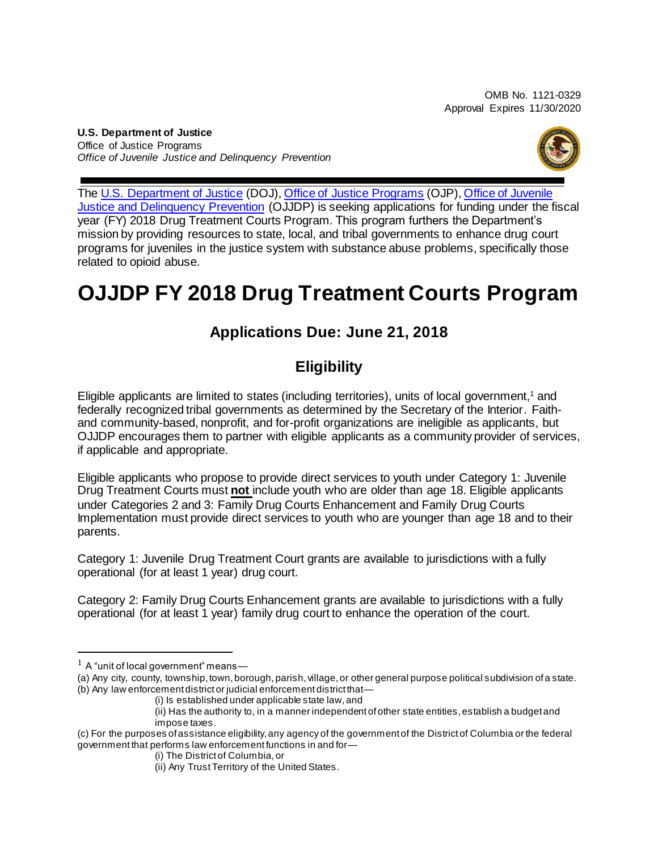OMB No. 1121-0329 Approval Expires 11/30/2020

**U.S. Department of Justice** Office of Justice Programs *Office of Juvenile Justice and Delinquency Prevention*



The [U.S. Department of Justice](https://www.usdoj.gov/) (DOJ), [Office of Justice Programs](https://ojp.gov/) (OJP), [Office of Juvenile](https://www.ojjdp.gov/)  [Justice and Delinquency Prevention](https://www.ojjdp.gov/) (OJJDP) is seeking applications for funding under the fiscal year (FY) 2018 Drug Treatment Courts Program*.* This program furthers the Department's mission by providing resources to state, local, and tribal governments to enhance drug court programs for juveniles in the justice system with substance abuse problems, specifically those related to opioid abuse.

## **OJJDP FY 2018 Drug Treatment Courts Program**

## **Applications Due: June 21, 2018**

## **Eligibility**

Eligible applicants are limited to states (including territories), units of local government,<sup>1</sup> and federally recognized tribal governments as determined by the Secretary of the Interior. Faithand community-based, nonprofit, and for-profit organizations are ineligible as applicants, but OJJDP encourages them to partner with eligible applicants as a community provider of services, if applicable and appropriate.

Eligible applicants who propose to provide direct services to youth under Category 1: Juvenile Drug Treatment Courts must **not** include youth who are older than age 18. Eligible applicants under Categories 2 and 3: Family Drug Courts Enhancement and Family Drug Courts Implementation must provide direct services to youth who are younger than age 18 and to their parents.

Category 1: Juvenile Drug Treatment Court grants are available to jurisdictions with a fully operational (for at least 1 year) drug court.

Category 2: Family Drug Courts Enhancement grants are available to jurisdictions with a fully operational (for at least 1 year) family drug court to enhance the operation of the court.

 $<sup>1</sup>$  A "unit of local government" means—</sup>

<sup>(</sup>a) Any city, county, township, town, borough, parish, village, or other general purpose political subdivision of a state. (b) Any law enforcement district or judicial enforcement district that-

<sup>(</sup>i) Is established under applicable state law, and

<sup>(</sup>ii) Has the authority to, in a manner independent of other state entities, establish a budget and impose taxes.

<sup>(</sup>c) For the purposes ofassistance eligibility, any agency of the government of the Districtof Columbia or the federal government that performs law enforcementfunctions in and for—

<sup>(</sup>i) The District of Columbia, or

<sup>(</sup>ii) Any Trust Territory of the United States.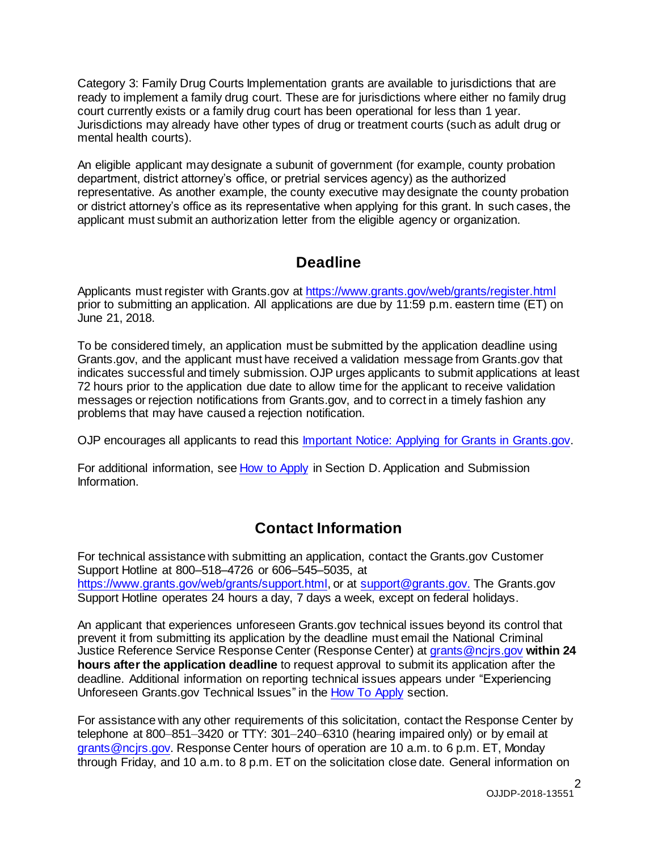Category 3: Family Drug Courts Implementation grants are available to jurisdictions that are ready to implement a family drug court. These are for jurisdictions where either no family drug court currently exists or a family drug court has been operational for less than 1 year. Jurisdictions may already have other types of drug or treatment courts (such as adult drug or mental health courts).

An eligible applicant may designate a subunit of government (for example, county probation department, district attorney's office, or pretrial services agency) as the authorized representative. As another example, the county executive may designate the county probation or district attorney's office as its representative when applying for this grant. In such cases, the applicant must submit an authorization letter from the eligible agency or organization.

### **Deadline**

Applicants must register with Grants.gov at <https://www.grants.gov/web/grants/register.html> prior to submitting an application. All applications are due by 11:59 p.m. eastern time (ET) on June 21, 2018.

To be considered timely, an application must be submitted by the application deadline using Grants.gov, and the applicant must have received a validation message from Grants.gov that indicates successful and timely submission. OJP urges applicants to submit applications at least 72 hours prior to the application due date to allow time for the applicant to receive validation messages or rejection notifications from Grants.gov, and to correct in a timely fashion any problems that may have caused a rejection notification.

OJP encourages all applicants to read this Important Notice: Applying for Grants in [Grants.gov.](https://ojp.gov/funding/Apply/Grants-govInfo.htm)

For additional information, see How to [Apply](#page-35-0) in Section D. Application and [Submission](#page-21-0) [Information.](#page-21-0)

## **Contact Information**

For technical assistance with submitting an application, contact the Grants.gov Customer Support Hotline at 800–518–4726 or 606–545–5035, at [https://www.grants.gov/web/grants/support.html,](https://www.grants.gov/web/grants/support.html) or at [support@grants.gov.](mailto:support@grants.gov) The Grants.gov Support Hotline operates 24 hours a day, 7 days a week, except on federal holidays.

An applicant that experiences unforeseen Grants.gov technical issues beyond its control that prevent it from submitting its application by the deadline must email the National Criminal Justice Reference Service Response Center (Response Center) at [grants@ncjrs.gov](mailto:grants@ncjrs.gov) **within 24 hours after the application deadline** to request approval to submit its application after the deadline. Additional information on reporting technical issues appears under "Experiencing Unforeseen Grants.gov Technical Issues" in the How To [Apply](#page-35-0) section.

For assistance with any other requirements of this solicitation, contact the Response Center by telephone at 800–851–3420 or TTY: 301–240–6310 (hearing impaired only) or by email at [grants@ncjrs.gov.](mailto:grants@ncjrs.gov) Response Center hours of operation are 10 a.m. to 6 p.m. ET, Monday through Friday, and 10 a.m. to 8 p.m. ET on the solicitation close date. General information on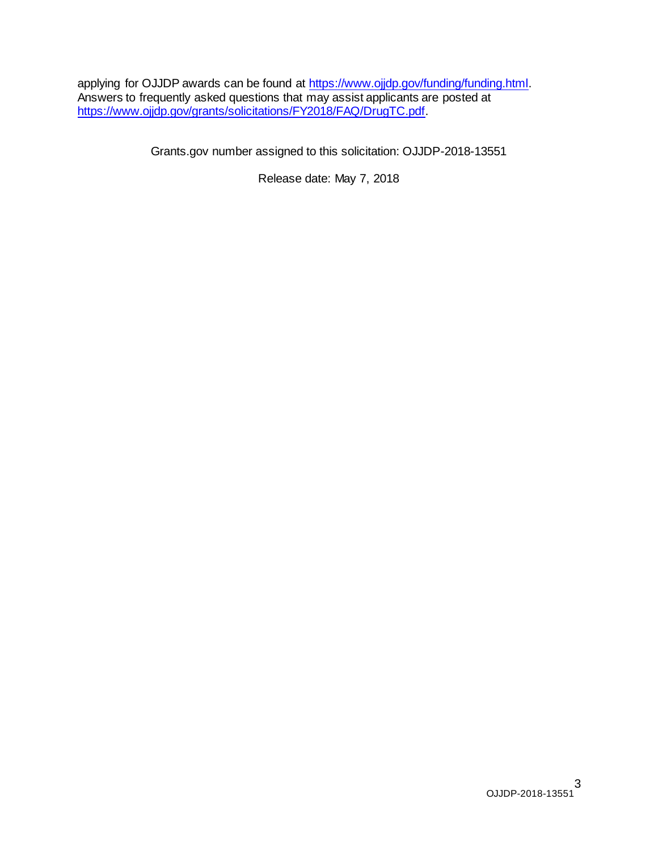applying for OJJDP awards can be found at https://www.ojjdp.gov/funding/funding.html. Answers to frequently asked questions that may assist applicants are posted at <https://www.ojjdp.gov/grants/solicitations/FY2018/FAQ/DrugTC.pdf>.

Grants.gov number assigned to this solicitation: OJJDP-2018-13551

Release date: May 7, 2018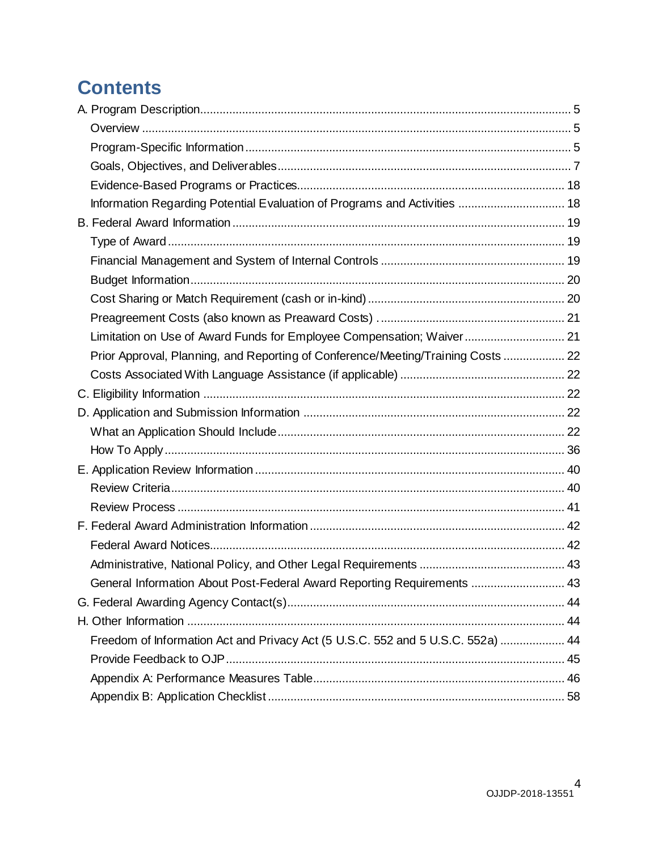## **Contents**

| Information Regarding Potential Evaluation of Programs and Activities  18        |  |
|----------------------------------------------------------------------------------|--|
|                                                                                  |  |
|                                                                                  |  |
|                                                                                  |  |
|                                                                                  |  |
|                                                                                  |  |
|                                                                                  |  |
| Limitation on Use of Award Funds for Employee Compensation; Waiver 21            |  |
| Prior Approval, Planning, and Reporting of Conference/Meeting/Training Costs  22 |  |
|                                                                                  |  |
|                                                                                  |  |
|                                                                                  |  |
|                                                                                  |  |
|                                                                                  |  |
|                                                                                  |  |
|                                                                                  |  |
|                                                                                  |  |
|                                                                                  |  |
|                                                                                  |  |
|                                                                                  |  |
| General Information About Post-Federal Award Reporting Requirements  43          |  |
|                                                                                  |  |
|                                                                                  |  |
| Freedom of Information Act and Privacy Act (5 U.S.C. 552 and 5 U.S.C. 552a)  44  |  |
|                                                                                  |  |
|                                                                                  |  |
|                                                                                  |  |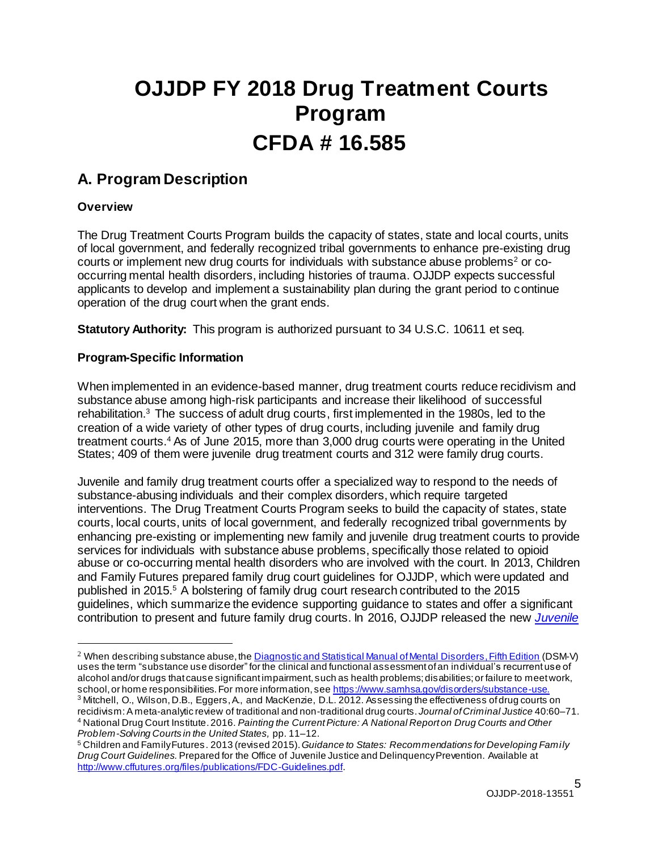# **OJJDP FY 2018 Drug Treatment Courts Program CFDA # 16.585**

### <span id="page-4-0"></span>**A. Program Description**

#### <span id="page-4-1"></span>**Overview**

The Drug Treatment Courts Program builds the capacity of states, state and local courts, units of local government, and federally recognized tribal governments to enhance pre-existing drug courts or implement new drug courts for individuals with substance abuse problems<sup>2</sup> or cooccurring mental health disorders, including histories of trauma. OJJDP expects successful applicants to develop and implement a sustainability plan during the grant period to continue operation of the drug court when the grant ends.

**Statutory Authority:** This program is authorized pursuant to 34 U.S.C. 10611 et seq*.*

#### <span id="page-4-2"></span>**Program-Specific Information**

When implemented in an evidence-based manner, drug treatment courts reduce recidivism and substance abuse among high-risk participants and increase their likelihood of successful rehabilitation.<sup>3</sup> The success of adult drug courts, first implemented in the 1980s, led to the creation of a wide variety of other types of drug courts, including juvenile and family drug treatment courts.<sup>4</sup> As of June 2015, more than 3,000 drug courts were operating in the United States; 409 of them were juvenile drug treatment courts and 312 were family drug courts.

Juvenile and family drug treatment courts offer a specialized way to respond to the needs of substance-abusing individuals and their complex disorders, which require targeted interventions. The Drug Treatment Courts Program seeks to build the capacity of states, state courts, local courts, units of local government, and federally recognized tribal governments by enhancing pre-existing or implementing new family and juvenile drug treatment courts to provide services for individuals with substance abuse problems, specifically those related to opioid abuse or co-occurring mental health disorders who are involved with the court. In 2013, Children and Family Futures prepared family drug court guidelines for OJJDP, which were updated and published in 2015.<sup>5</sup> A bolstering of family drug court research contributed to the 2015 guidelines, which summarize the evidence supporting guidance to states and offer a significant contribution to present and future family drug courts. In 2016, OJJDP released the new *[Juvenile](https://www.ojjdp.gov/juvenile-Drug-Treatment-Court-Guidelines.html)*

<sup>2</sup> When describing substance abuse, th[e Diagnostic and Statistical Manual of Mental Disorders, Fifth Edition](https://dsm.psychiatryonline.org/doi/book/10.1176/appi.books.9780890425596) (DSM-V) uses the term "substance use disorder" for the clinical and functional assessment of an individual's recurrent use of alcohol and/or drugs that cause significant impairment, such as health problems; disabilities; or failure to meet work, school, or home responsibilities. For more information, se[e https://www.samhsa.gov/disorders/substance-use](https://www.samhsa.gov/disorders/substance-use).

 $^3$  Mitchell, O., Wilson, D.B., Eggers, A., and MacKenzie, D.L. 2012. Assessing the effectiveness of drug courts on recidivism:A meta-analytic review of traditional and non-traditional drug courts. *Journal ofCriminal Justice* 40:60–71. <sup>4</sup> National Drug Court Institute.2016. *Painting the Current Picture: A National Report on Drug Courts and Other Problem-Solving Courts in the United States,* pp. 11–12.

<sup>5</sup> Children and Family Futures. 2013 (revised 2015). *Guidance to States: Recommendations for Developing Family Drug Court Guidelines.*Prepared for the Office of Juvenile Justice and Delinquency Prevention. Available at <http://www.cffutures.org/files/publications/FDC-Guidelines.pdf>.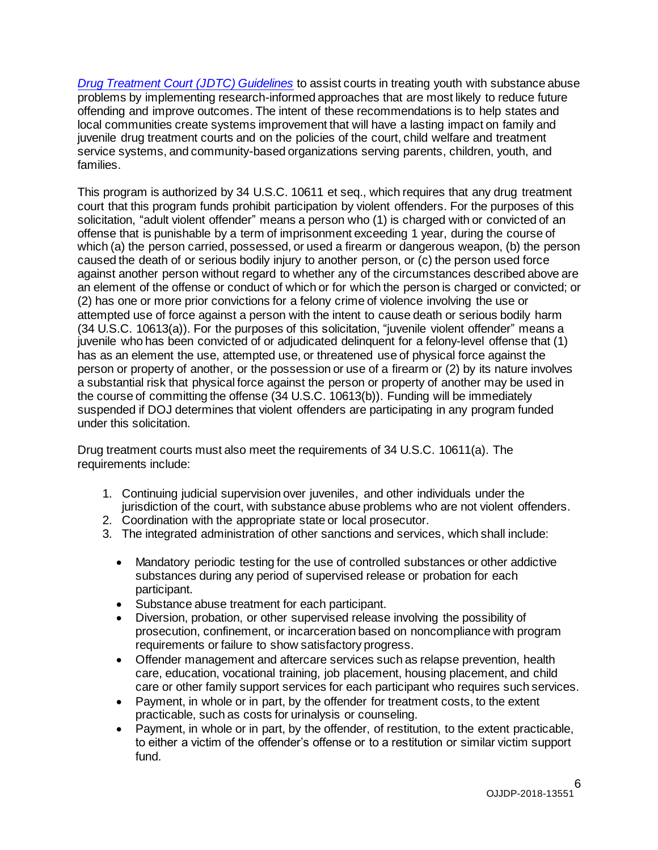*[Drug Treatment Court \(JDTC\) Guidelines](https://www.ojjdp.gov/juvenile-Drug-Treatment-Court-Guidelines.html)* to assist courts in treating youth with substance abuse problems by implementing research-informed approaches that are most likely to reduce future offending and improve outcomes. The intent of these recommendations is to help states and local communities create systems improvement that will have a lasting impact on family and juvenile drug treatment courts and on the policies of the court, child welfare and treatment service systems, and community-based organizations serving parents, children, youth, and families.

This program is authorized by 34 U.S.C. 10611 et seq., which requires that any drug treatment court that this program funds prohibit participation by violent offenders. For the purposes of this solicitation, "adult violent offender" means a person who (1) is charged with or convicted of an offense that is punishable by a term of imprisonment exceeding 1 year, during the course of which (a) the person carried, possessed, or used a firearm or dangerous weapon, (b) the person caused the death of or serious bodily injury to another person, or (c) the person used force against another person without regard to whether any of the circumstances described above are an element of the offense or conduct of which or for which the person is charged or convicted; or (2) has one or more prior convictions for a felony crime of violence involving the use or attempted use of force against a person with the intent to cause death or serious bodily harm (34 U.S.C. 10613(a)). For the purposes of this solicitation, "juvenile violent offender" means a juvenile who has been convicted of or adjudicated delinquent for a felony-level offense that (1) has as an element the use, attempted use, or threatened use of physical force against the person or property of another, or the possession or use of a firearm or (2) by its nature involves a substantial risk that physical force against the person or property of another may be used in the course of committing the offense (34 U.S.C. 10613(b)). Funding will be immediately suspended if DOJ determines that violent offenders are participating in any program funded under this solicitation.

Drug treatment courts must also meet the requirements of 34 U.S.C. 10611(a). The requirements include:

- 1. Continuing judicial supervision over juveniles, and other individuals under the jurisdiction of the court, with substance abuse problems who are not violent offenders.
- 2. Coordination with the appropriate state or local prosecutor.
- 3. The integrated administration of other sanctions and services, which shall include:
	- Mandatory periodic testing for the use of controlled substances or other addictive substances during any period of supervised release or probation for each participant.
	- Substance abuse treatment for each participant.
	- Diversion, probation, or other supervised release involving the possibility of prosecution, confinement, or incarceration based on noncompliance with program requirements or failure to show satisfactory progress.
	- Offender management and aftercare services such as relapse prevention, health care, education, vocational training, job placement, housing placement, and child care or other family support services for each participant who requires such services.
	- Payment, in whole or in part, by the offender for treatment costs, to the extent practicable, such as costs for urinalysis or counseling.
	- Payment, in whole or in part, by the offender, of restitution, to the extent practicable, to either a victim of the offender's offense or to a restitution or similar victim support fund.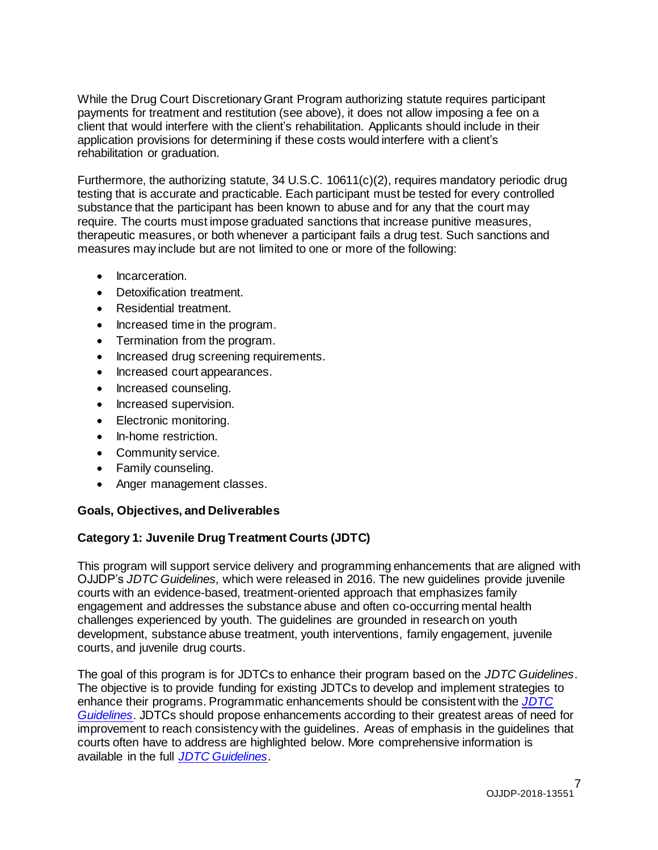While the Drug Court Discretionary Grant Program authorizing statute requires participant payments for treatment and restitution (see above), it does not allow imposing a fee on a client that would interfere with the client's rehabilitation. Applicants should include in their application provisions for determining if these costs would interfere with a client's rehabilitation or graduation.

Furthermore, the authorizing statute,  $34$  U.S.C. 10611(c)(2), requires mandatory periodic drug testing that is accurate and practicable. Each participant must be tested for every controlled substance that the participant has been known to abuse and for any that the court may require. The courts must impose graduated sanctions that increase punitive measures, therapeutic measures, or both whenever a participant fails a drug test. Such sanctions and measures may include but are not limited to one or more of the following:

- Incarceration.
- Detoxification treatment.
- Residential treatment.
- Increased time in the program.
- Termination from the program.
- Increased drug screening requirements.
- Increased court appearances.
- Increased counseling.
- Increased supervision.
- Electronic monitoring.
- In-home restriction.
- Community service.
- Family counseling.
- Anger management classes.

#### <span id="page-6-0"></span>**Goals, Objectives, and Deliverables**

#### **Category 1: Juvenile Drug Treatment Courts (JDTC)**

This program will support service delivery and programming enhancements that are aligned with OJJDP's *JDTC Guidelines,* which were released in 2016. The new guidelines provide juvenile courts with an evidence-based, treatment-oriented approach that emphasizes family engagement and addresses the substance abuse and often co-occurring mental health challenges experienced by youth. The guidelines are grounded in research on youth development, substance abuse treatment, youth interventions, family engagement, juvenile courts, and juvenile drug courts.

The goal of this program is for JDTCs to enhance their program based on the *JDTC Guidelines*. The objective is to provide funding for existing JDTCs to develop and implement strategies to enhance their programs. Programmatic enhancements should be consistent with the *[JDTC](https://www.ojjdp.gov/juvenile-Drug-Treatment-Court-Guidelines.html)  [Guidelines](https://www.ojjdp.gov/juvenile-Drug-Treatment-Court-Guidelines.html)*. JDTCs should propose enhancements according to their greatest areas of need for improvement to reach consistency with the guidelines. Areas of emphasis in the guidelines that courts often have to address are highlighted below. More comprehensive information is available in the full *[JDTC Guidelines](https://www.ojjdp.gov/juvenile-Drug-Treatment-Court-Guidelines.html)*.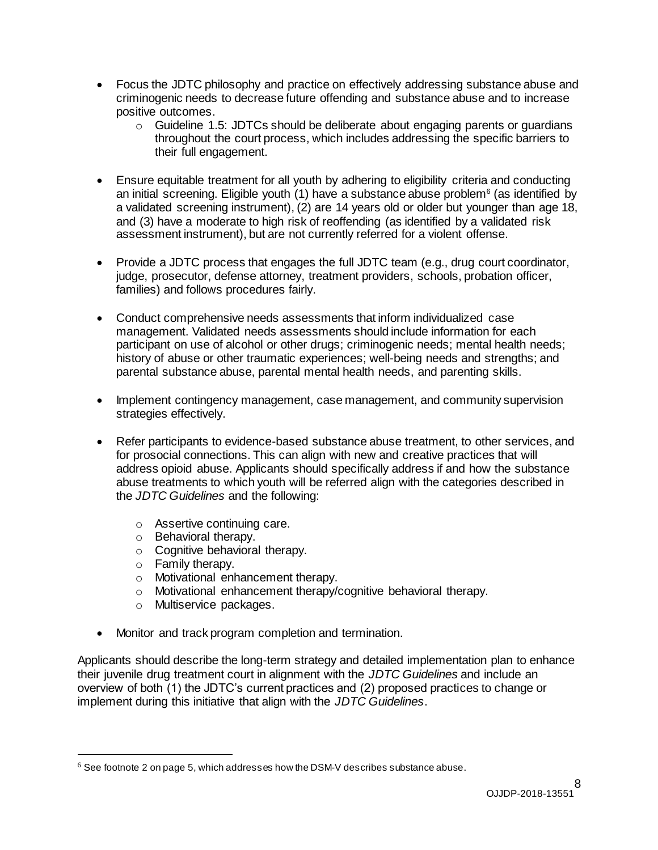- Focus the JDTC philosophy and practice on effectively addressing substance abuse and criminogenic needs to decrease future offending and substance abuse and to increase positive outcomes.
	- o Guideline 1.5: JDTCs should be deliberate about engaging parents or guardians throughout the court process, which includes addressing the specific barriers to their full engagement.
- Ensure equitable treatment for all youth by adhering to eligibility criteria and conducting an initial screening. Eligible youth (1) have a substance abuse problem<sup>6</sup> (as identified by a validated screening instrument), (2) are 14 years old or older but younger than age 18, and (3) have a moderate to high risk of reoffending (as identified by a validated risk assessment instrument), but are not currently referred for a violent offense.
- Provide a JDTC process that engages the full JDTC team (e.g., drug court coordinator, judge, prosecutor, defense attorney, treatment providers, schools, probation officer, families) and follows procedures fairly.
- Conduct comprehensive needs assessments that inform individualized case management. Validated needs assessments should include information for each participant on use of alcohol or other drugs; criminogenic needs; mental health needs; history of abuse or other traumatic experiences; well-being needs and strengths; and parental substance abuse, parental mental health needs, and parenting skills.
- Implement contingency management, case management, and community supervision strategies effectively.
- Refer participants to evidence-based substance abuse treatment, to other services, and for prosocial connections. This can align with new and creative practices that will address opioid abuse. Applicants should specifically address if and how the substance abuse treatments to which youth will be referred align with the categories described in the *JDTC Guidelines* and the following:
	- o Assertive continuing care.
	- o Behavioral therapy.
	- o Cognitive behavioral therapy.
	- o Family therapy.
	- o Motivational enhancement therapy.
	- o Motivational enhancement therapy/cognitive behavioral therapy.
	- o Multiservice packages.
- Monitor and track program completion and termination.

Applicants should describe the long-term strategy and detailed implementation plan to enhance their juvenile drug treatment court in alignment with the *JDTC Guidelines* and include an overview of both (1) the JDTC's current practices and (2) proposed practices to change or implement during this initiative that align with the *JDTC Guidelines*.

 $^6$  See footnote 2 on page 5, which addresses how the DSM-V describes substance abuse.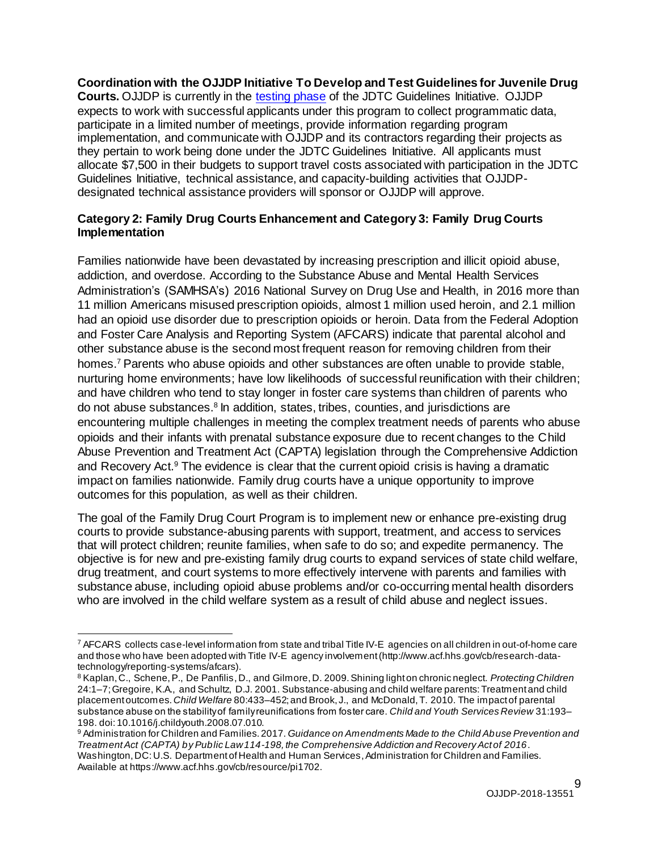**Coordination with the OJJDP Initiative To Develop and Test Guidelines for Juvenile Drug Courts.** OJJDP is currently in the [testing phase](https://www.ojjdp.gov/JDTC/Phase2Testing.html) of the JDTC Guidelines Initiative. OJJDP expects to work with successful applicants under this program to collect programmatic data, participate in a limited number of meetings, provide information regarding program implementation, and communicate with OJJDP and its contractors regarding their projects as they pertain to work being done under the JDTC Guidelines Initiative. All applicants must allocate \$7,500 in their budgets to support travel costs associated with participation in the JDTC Guidelines Initiative, technical assistance, and capacity-building activities that OJJDPdesignated technical assistance providers will sponsor or OJJDP will approve.

#### **Category 2: Family Drug Courts Enhancement and Category 3: Family Drug Courts Implementation**

Families nationwide have been devastated by increasing prescription and illicit opioid abuse, addiction, and overdose. According to the Substance Abuse and Mental Health Services Administration's (SAMHSA's) 2016 National Survey on Drug Use and Health, in 2016 more than 11 million Americans misused prescription opioids, almost 1 million used heroin, and 2.1 million had an opioid use disorder due to prescription opioids or heroin. Data from the Federal Adoption and Foster Care Analysis and Reporting System (AFCARS) indicate that parental alcohol and other substance abuse is the second most frequent reason for removing children from their homes.<sup>7</sup> Parents who abuse opioids and other substances are often unable to provide stable, nurturing home environments; have low likelihoods of successful reunification with their children; and have children who tend to stay longer in foster care systems than children of parents who do not abuse substances.<sup>8</sup> In addition, states, tribes, counties, and jurisdictions are encountering multiple challenges in meeting the complex treatment needs of parents who abuse opioids and their infants with prenatal substance exposure due to recent changes to the Child Abuse Prevention and Treatment Act (CAPTA) legislation through the Comprehensive Addiction and Recovery Act.<sup>9</sup> The evidence is clear that the current opioid crisis is having a dramatic impact on families nationwide. Family drug courts have a unique opportunity to improve outcomes for this population, as well as their children.

The goal of the Family Drug Court Program is to implement new or enhance pre-existing drug courts to provide substance-abusing parents with support, treatment, and access to services that will protect children; reunite families, when safe to do so; and expedite permanency. The objective is for new and pre-existing family drug courts to expand services of state child welfare, drug treatment, and court systems to more effectively intervene with parents and families with substance abuse, including opioid abuse problems and/or co-occurring mental health disorders who are involved in the child welfare system as a result of child abuse and neglect issues.

<sup>7</sup> AFCARS collects case-level information from state and tribal Title IV-E agencies on all children in out-of-home care and those who have been adopted with Title IV-E agency involvement (http://www.acf.hhs.gov/cb/research-datatechnology/reporting-systems/afcars).

<sup>8</sup> Kaplan,C., Schene,P., De Panfilis,D., and Gilmore,D. 2009.Shining light on chronic neglect. *Protecting Children* 24:1–7;Gregoire, K.A., and Schultz, D.J. 2001. Substance-abusing and child welfare parents:Treatment and child placementoutcomes.*Child Welfare* 80:433–452; and Brook, J., and McDonald,T. 2010. The impactof parental substance abuse on the stabilityof familyreunifications from foster care. *Child and Youth Services Review* 31:193– 198. doi:10.1016/j.childyouth.2008.07.010.

<sup>9</sup> Administration for Children and Families.2017. *Guidance on Amendments Made to the Child Abuse Prevention and TreatmentAct (CAPTA) by Public Law114-198,the Comprehensive Addiction and Recovery Act of 2016*. Washington, DC: U.S. Department of Health and Human Services, Administration for Children and Families. Available at https://www.acf.hhs.gov/cb/resource/pi1702.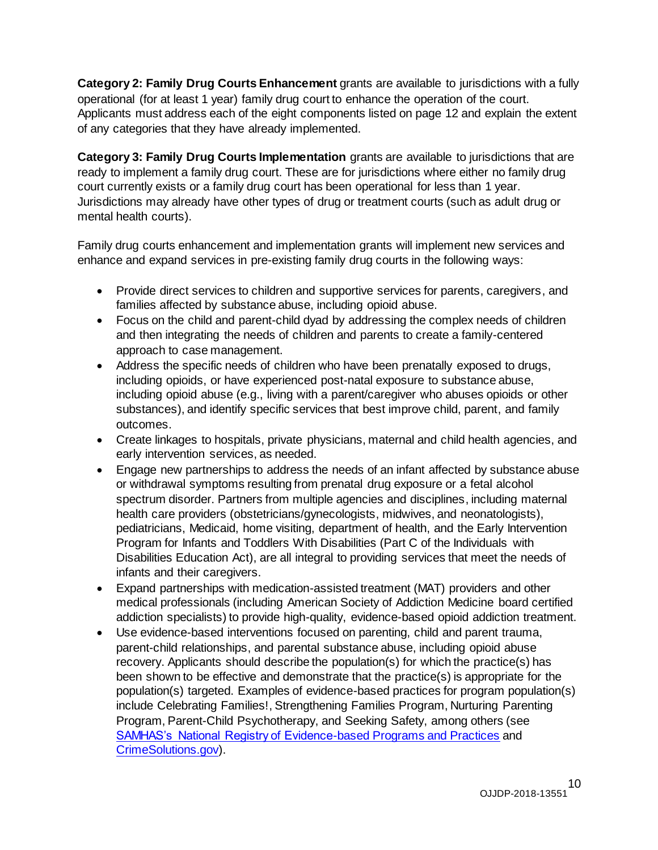**Category 2: Family Drug Courts Enhancement** grants are available to jurisdictions with a fully operational (for at least 1 year) family drug court to enhance the operation of the court. Applicants must address each of the eight components listed on page 12 and explain the extent of any categories that they have already implemented.

**Category 3: Family Drug Courts Implementation** grants are available to jurisdictions that are ready to implement a family drug court. These are for jurisdictions where either no family drug court currently exists or a family drug court has been operational for less than 1 year. Jurisdictions may already have other types of drug or treatment courts (such as adult drug or mental health courts).

Family drug courts enhancement and implementation grants will implement new services and enhance and expand services in pre-existing family drug courts in the following ways:

- Provide direct services to children and supportive services for parents, caregivers, and families affected by substance abuse, including opioid abuse.
- Focus on the child and parent-child dyad by addressing the complex needs of children and then integrating the needs of children and parents to create a family-centered approach to case management.
- Address the specific needs of children who have been prenatally exposed to drugs, including opioids, or have experienced post-natal exposure to substance abuse, including opioid abuse (e.g., living with a parent/caregiver who abuses opioids or other substances), and identify specific services that best improve child, parent, and family outcomes.
- Create linkages to hospitals, private physicians, maternal and child health agencies, and early intervention services, as needed.
- Engage new partnerships to address the needs of an infant affected by substance abuse or withdrawal symptoms resulting from prenatal drug exposure or a fetal alcohol spectrum disorder. Partners from multiple agencies and disciplines, including maternal health care providers (obstetricians/gynecologists, midwives, and neonatologists), pediatricians, Medicaid, home visiting, department of health, and the Early Intervention Program for Infants and Toddlers With Disabilities (Part C of the Individuals with Disabilities Education Act), are all integral to providing services that meet the needs of infants and their caregivers.
- Expand partnerships with medication-assisted treatment (MAT) providers and other medical professionals (including American Society of Addiction Medicine board certified addiction specialists) to provide high-quality, evidence-based opioid addiction treatment.
- Use evidence-based interventions focused on parenting, child and parent trauma, parent-child relationships, and parental substance abuse, including opioid abuse recovery. Applicants should describe the population(s) for which the practice(s) has been shown to be effective and demonstrate that the practice(s) is appropriate for the population(s) targeted. Examples of evidence-based practices for program population(s) include Celebrating Families!, Strengthening Families Program, Nurturing Parenting Program, Parent-Child Psychotherapy, and Seeking Safety, among others (see [SAMHAS's National Registry of Evidence-based Programs and Practices](https://www.nrepp.samhsa.gov/landing.aspx) and [CrimeSolutions.gov](https://www.crimesolutions.gov/)).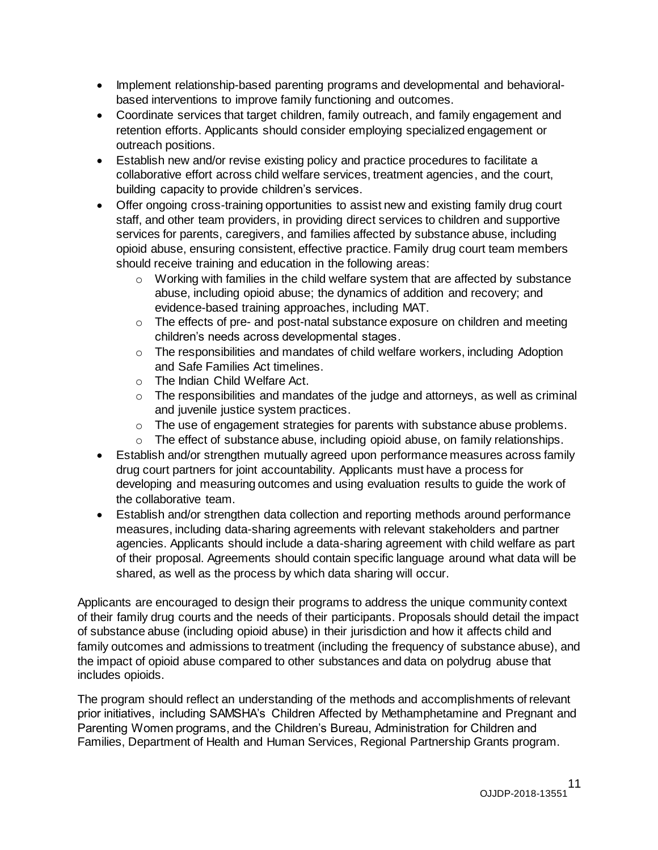- Implement relationship-based parenting programs and developmental and behavioralbased interventions to improve family functioning and outcomes.
- Coordinate services that target children, family outreach, and family engagement and retention efforts. Applicants should consider employing specialized engagement or outreach positions.
- Establish new and/or revise existing policy and practice procedures to facilitate a collaborative effort across child welfare services, treatment agencies, and the court, building capacity to provide children's services.
- Offer ongoing cross-training opportunities to assist new and existing family drug court staff, and other team providers, in providing direct services to children and supportive services for parents, caregivers, and families affected by substance abuse, including opioid abuse, ensuring consistent, effective practice. Family drug court team members should receive training and education in the following areas:
	- o Working with families in the child welfare system that are affected by substance abuse, including opioid abuse; the dynamics of addition and recovery; and evidence-based training approaches, including MAT.
	- o The effects of pre- and post-natal substance exposure on children and meeting children's needs across developmental stages.
	- o The responsibilities and mandates of child welfare workers, including Adoption and Safe Families Act timelines.
	- o The Indian Child Welfare Act.
	- o The responsibilities and mandates of the judge and attorneys, as well as criminal and juvenile justice system practices.
	- o The use of engagement strategies for parents with substance abuse problems.
	- o The effect of substance abuse, including opioid abuse, on family relationships.
- Establish and/or strengthen mutually agreed upon performance measures across family drug court partners for joint accountability. Applicants must have a process for developing and measuring outcomes and using evaluation results to guide the work of the collaborative team.
- Establish and/or strengthen data collection and reporting methods around performance measures, including data-sharing agreements with relevant stakeholders and partner agencies. Applicants should include a data-sharing agreement with child welfare as part of their proposal. Agreements should contain specific language around what data will be shared, as well as the process by which data sharing will occur.

Applicants are encouraged to design their programs to address the unique community context of their family drug courts and the needs of their participants. Proposals should detail the impact of substance abuse (including opioid abuse) in their jurisdiction and how it affects child and family outcomes and admissions to treatment (including the frequency of substance abuse), and the impact of opioid abuse compared to other substances and data on polydrug abuse that includes opioids.

The program should reflect an understanding of the methods and accomplishments of relevant prior initiatives, including SAMSHA's Children Affected by Methamphetamine and Pregnant and Parenting Women programs, and the Children's Bureau, Administration for Children and Families, Department of Health and Human Services, Regional Partnership Grants program.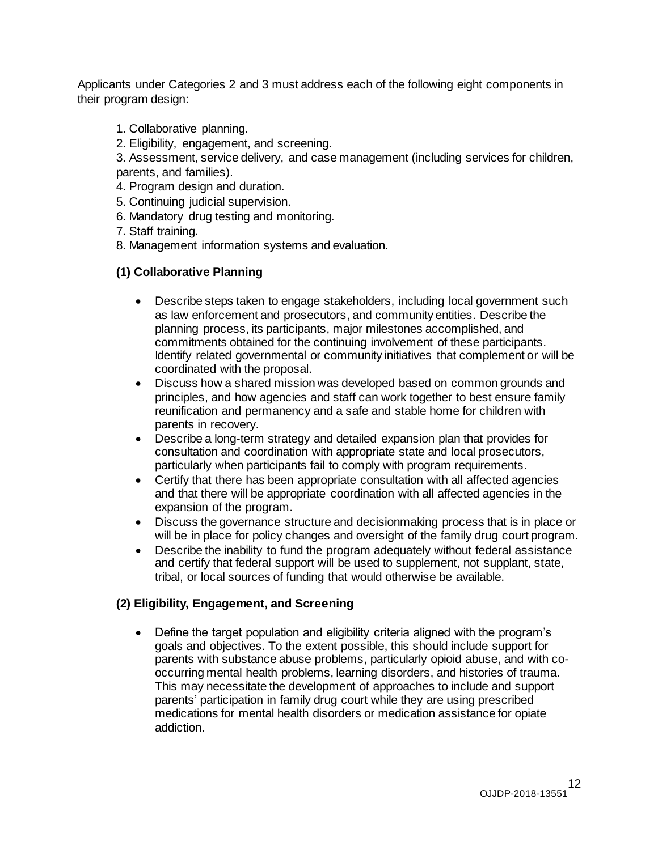Applicants under Categories 2 and 3 must address each of the following eight components in their program design:

- 1. Collaborative planning.
- 2. Eligibility, engagement, and screening.
- 3. Assessment, service delivery, and case management (including services for children, parents, and families).
- 4. Program design and duration.
- 5. Continuing judicial supervision.
- 6. Mandatory drug testing and monitoring.
- 7. Staff training.
- 8. Management information systems and evaluation.

#### **(1) Collaborative Planning**

- Describe steps taken to engage stakeholders, including local government such as law enforcement and prosecutors, and community entities. Describe the planning process, its participants, major milestones accomplished, and commitments obtained for the continuing involvement of these participants. Identify related governmental or community initiatives that complement or will be coordinated with the proposal.
- Discuss how a shared mission was developed based on common grounds and principles, and how agencies and staff can work together to best ensure family reunification and permanency and a safe and stable home for children with parents in recovery.
- Describe a long-term strategy and detailed expansion plan that provides for consultation and coordination with appropriate state and local prosecutors, particularly when participants fail to comply with program requirements.
- Certify that there has been appropriate consultation with all affected agencies and that there will be appropriate coordination with all affected agencies in the expansion of the program.
- Discuss the governance structure and decisionmaking process that is in place or will be in place for policy changes and oversight of the family drug court program.
- Describe the inability to fund the program adequately without federal assistance and certify that federal support will be used to supplement, not supplant, state, tribal, or local sources of funding that would otherwise be available.

#### **(2) Eligibility, Engagement, and Screening**

 Define the target population and eligibility criteria aligned with the program's goals and objectives. To the extent possible, this should include support for parents with substance abuse problems, particularly opioid abuse, and with cooccurring mental health problems, learning disorders, and histories of trauma. This may necessitate the development of approaches to include and support parents' participation in family drug court while they are using prescribed medications for mental health disorders or medication assistance for opiate addiction.